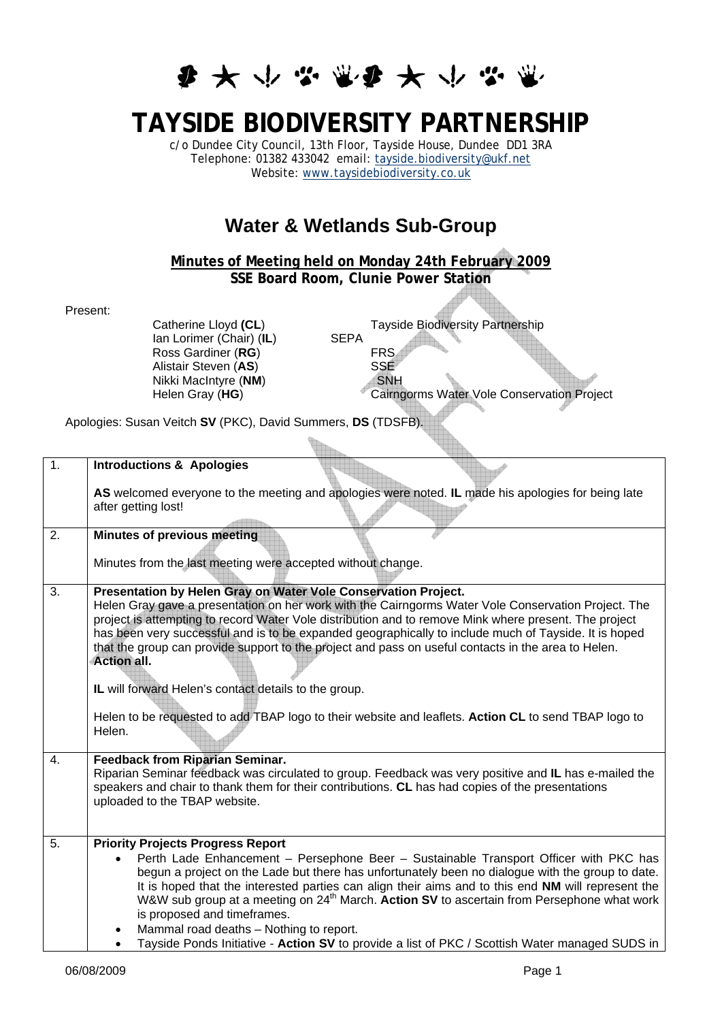## **多大小学堂多大小学堂**

## **TAYSIDE BIODIVERSITY PARTNERSHIP**

c/o Dundee City Council, 13th Floor, Tayside House, Dundee DD1 3RA Telephone: 01382 433042 email: [tayside.biodiversity@ukf.net](mailto:tayside.biodiversity@ukf.net) Website: [www.taysidebiodiversity.co.uk](http://www.taysidebiodiversity.co.uk/)

## **Water & Wetlands Sub-Group**

## **Minutes of Meeting held on Monday 24th February 2009 SSE Board Room, Clunie Power Station**

Present:

Catherine Lloyd **(CL)**<br>
Ian Lorimer (Chair) (IL) SEPA<br>
SEPA Ian Lorimer (Chair) (**IL**) Ross Gardiner (**RG**) FRS<br>Alistair Steven (AS) SSE Alistair Steven (**AS**) SSE<br>Nikki MacIntyre (NM) SNH **Nikki MacIntyre (NM)** 

Helen Gray (HG) Cairngorms Water Vole Conservation Project

Apologies: Susan Veitch **SV** (PKC), David Summers, **DS** (TDSFB).

| $\overline{1}$ . | <b>Introductions &amp; Apologies</b>                                                                                                                                                                                                                                                                                                                                                                                                                                                                                                                                                                                                                                                  |
|------------------|---------------------------------------------------------------------------------------------------------------------------------------------------------------------------------------------------------------------------------------------------------------------------------------------------------------------------------------------------------------------------------------------------------------------------------------------------------------------------------------------------------------------------------------------------------------------------------------------------------------------------------------------------------------------------------------|
|                  | AS welcomed everyone to the meeting and apologies were noted. IL made his apologies for being late<br>after getting lost!                                                                                                                                                                                                                                                                                                                                                                                                                                                                                                                                                             |
| $\overline{2}$ . | <b>Minutes of previous meeting</b>                                                                                                                                                                                                                                                                                                                                                                                                                                                                                                                                                                                                                                                    |
|                  | Minutes from the last meeting were accepted without change.                                                                                                                                                                                                                                                                                                                                                                                                                                                                                                                                                                                                                           |
| $\overline{3}$ . | Presentation by Helen Gray on Water Vole Conservation Project.<br>Helen Gray gave a presentation on her work with the Cairngorms Water Vole Conservation Project. The<br>project is attempting to record Water Vole distribution and to remove Mink where present. The project<br>has been very successful and is to be expanded geographically to include much of Tayside. It is hoped<br>that the group can provide support to the project and pass on useful contacts in the area to Helen.<br><b>Action all.</b><br>IL will forward Helen's contact details to the group.<br>Helen to be requested to add TBAP logo to their website and leaflets. Action CL to send TBAP logo to |
|                  | Helen.                                                                                                                                                                                                                                                                                                                                                                                                                                                                                                                                                                                                                                                                                |
| 4.               | <b>Feedback from Riparian Seminar.</b><br>Riparian Seminar feedback was circulated to group. Feedback was very positive and IL has e-mailed the<br>speakers and chair to thank them for their contributions. CL has had copies of the presentations<br>uploaded to the TBAP website.                                                                                                                                                                                                                                                                                                                                                                                                  |
| 5.               | <b>Priority Projects Progress Report</b><br>Perth Lade Enhancement - Persephone Beer - Sustainable Transport Officer with PKC has<br>begun a project on the Lade but there has unfortunately been no dialogue with the group to date.<br>It is hoped that the interested parties can align their aims and to this end NM will represent the<br>W&W sub group at a meeting on 24 <sup>th</sup> March. Action SV to ascertain from Persephone what work<br>is proposed and timeframes.<br>Mammal road deaths - Nothing to report.<br>Tayside Ponds Initiative - Action SV to provide a list of PKC / Scottish Water managed SUDS in                                                     |